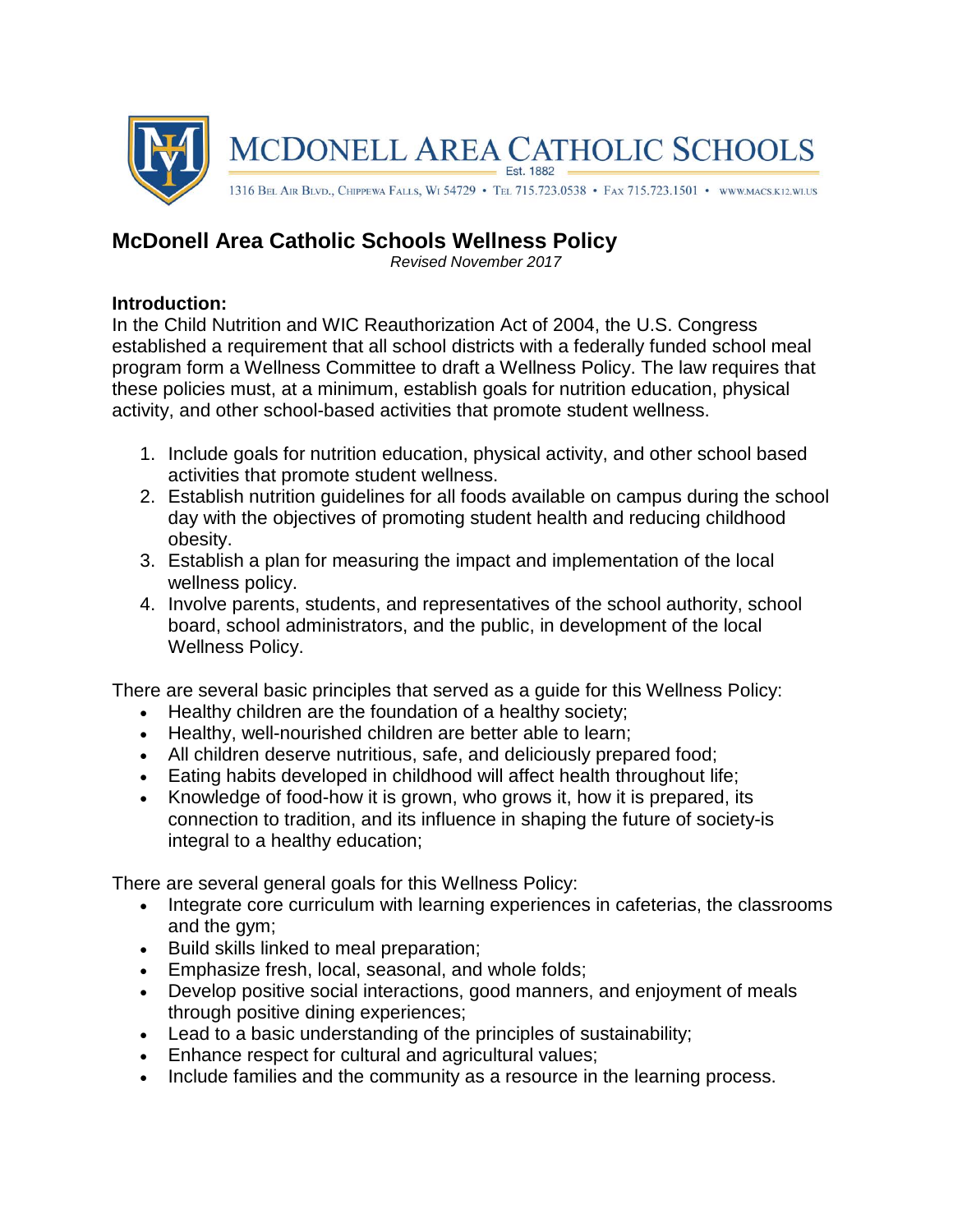

# **McDonell Area Catholic Schools Wellness Policy**

*Revised November 2017*

## **Introduction:**

In the Child Nutrition and WIC Reauthorization Act of 2004, the U.S. Congress established a requirement that all school districts with a federally funded school meal program form a Wellness Committee to draft a Wellness Policy. The law requires that these policies must, at a minimum, establish goals for nutrition education, physical activity, and other school-based activities that promote student wellness.

- 1. Include goals for nutrition education, physical activity, and other school based activities that promote student wellness.
- 2. Establish nutrition guidelines for all foods available on campus during the school day with the objectives of promoting student health and reducing childhood obesity.
- 3. Establish a plan for measuring the impact and implementation of the local wellness policy.
- 4. Involve parents, students, and representatives of the school authority, school board, school administrators, and the public, in development of the local Wellness Policy.

There are several basic principles that served as a guide for this Wellness Policy:

- Healthy children are the foundation of a healthy society;
- Healthy, well-nourished children are better able to learn;
- All children deserve nutritious, safe, and deliciously prepared food;
- Eating habits developed in childhood will affect health throughout life;
- Knowledge of food-how it is grown, who grows it, how it is prepared, its connection to tradition, and its influence in shaping the future of society-is integral to a healthy education;

There are several general goals for this Wellness Policy:

- Integrate core curriculum with learning experiences in cafeterias, the classrooms and the gym;
- Build skills linked to meal preparation;
- Emphasize fresh, local, seasonal, and whole folds;
- Develop positive social interactions, good manners, and enjoyment of meals through positive dining experiences;
- Lead to a basic understanding of the principles of sustainability;
- Enhance respect for cultural and agricultural values;
- Include families and the community as a resource in the learning process.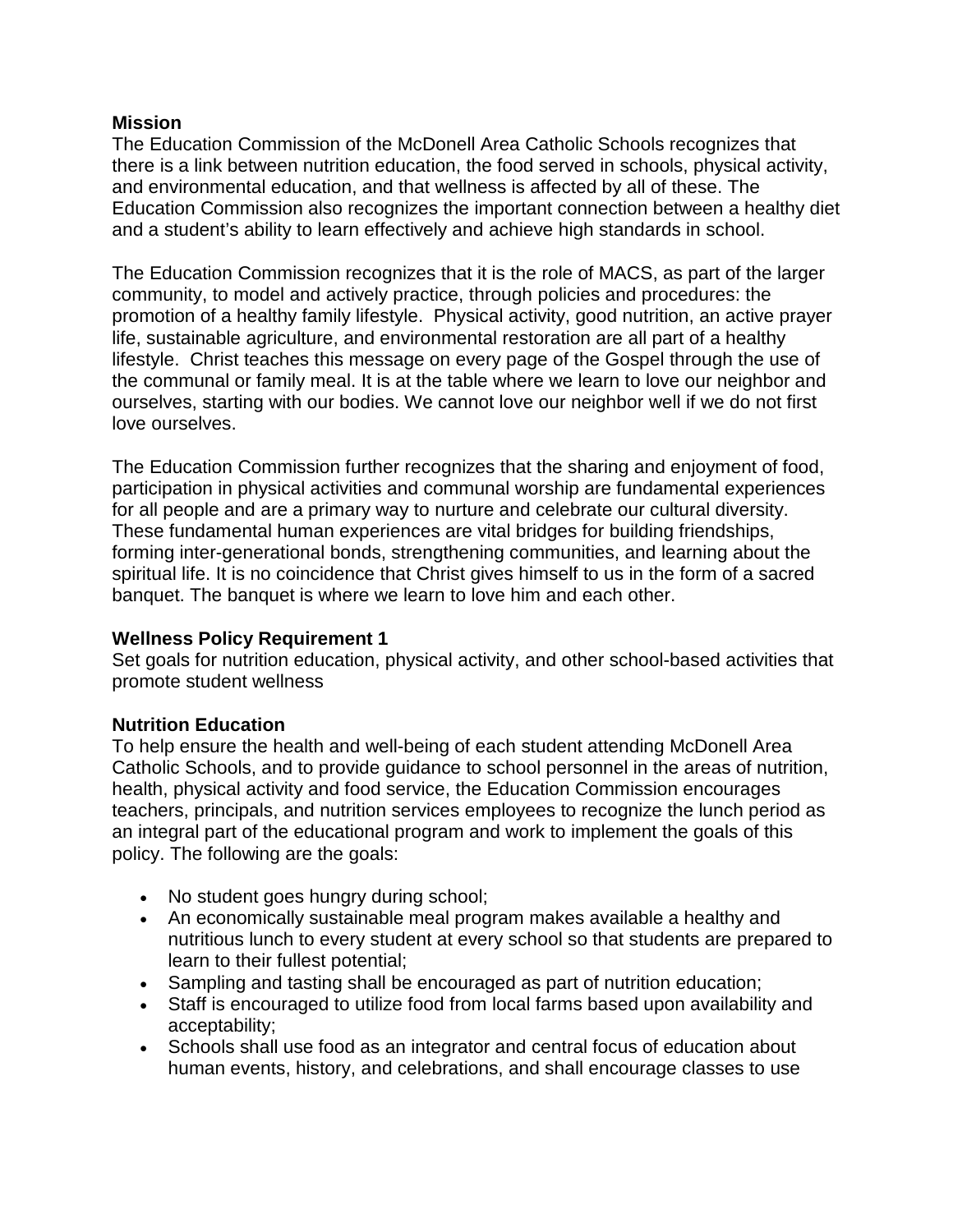#### **Mission**

The Education Commission of the McDonell Area Catholic Schools recognizes that there is a link between nutrition education, the food served in schools, physical activity, and environmental education, and that wellness is affected by all of these. The Education Commission also recognizes the important connection between a healthy diet and a student's ability to learn effectively and achieve high standards in school.

The Education Commission recognizes that it is the role of MACS, as part of the larger community, to model and actively practice, through policies and procedures: the promotion of a healthy family lifestyle. Physical activity, good nutrition, an active prayer life, sustainable agriculture, and environmental restoration are all part of a healthy lifestyle. Christ teaches this message on every page of the Gospel through the use of the communal or family meal. It is at the table where we learn to love our neighbor and ourselves, starting with our bodies. We cannot love our neighbor well if we do not first love ourselves.

The Education Commission further recognizes that the sharing and enjoyment of food, participation in physical activities and communal worship are fundamental experiences for all people and are a primary way to nurture and celebrate our cultural diversity. These fundamental human experiences are vital bridges for building friendships, forming inter-generational bonds, strengthening communities, and learning about the spiritual life. It is no coincidence that Christ gives himself to us in the form of a sacred banquet. The banquet is where we learn to love him and each other.

#### **Wellness Policy Requirement 1**

Set goals for nutrition education, physical activity, and other school-based activities that promote student wellness

#### **Nutrition Education**

To help ensure the health and well-being of each student attending McDonell Area Catholic Schools, and to provide guidance to school personnel in the areas of nutrition, health, physical activity and food service, the Education Commission encourages teachers, principals, and nutrition services employees to recognize the lunch period as an integral part of the educational program and work to implement the goals of this policy. The following are the goals:

- No student goes hungry during school;
- An economically sustainable meal program makes available a healthy and nutritious lunch to every student at every school so that students are prepared to learn to their fullest potential;
- Sampling and tasting shall be encouraged as part of nutrition education;
- Staff is encouraged to utilize food from local farms based upon availability and acceptability;
- Schools shall use food as an integrator and central focus of education about human events, history, and celebrations, and shall encourage classes to use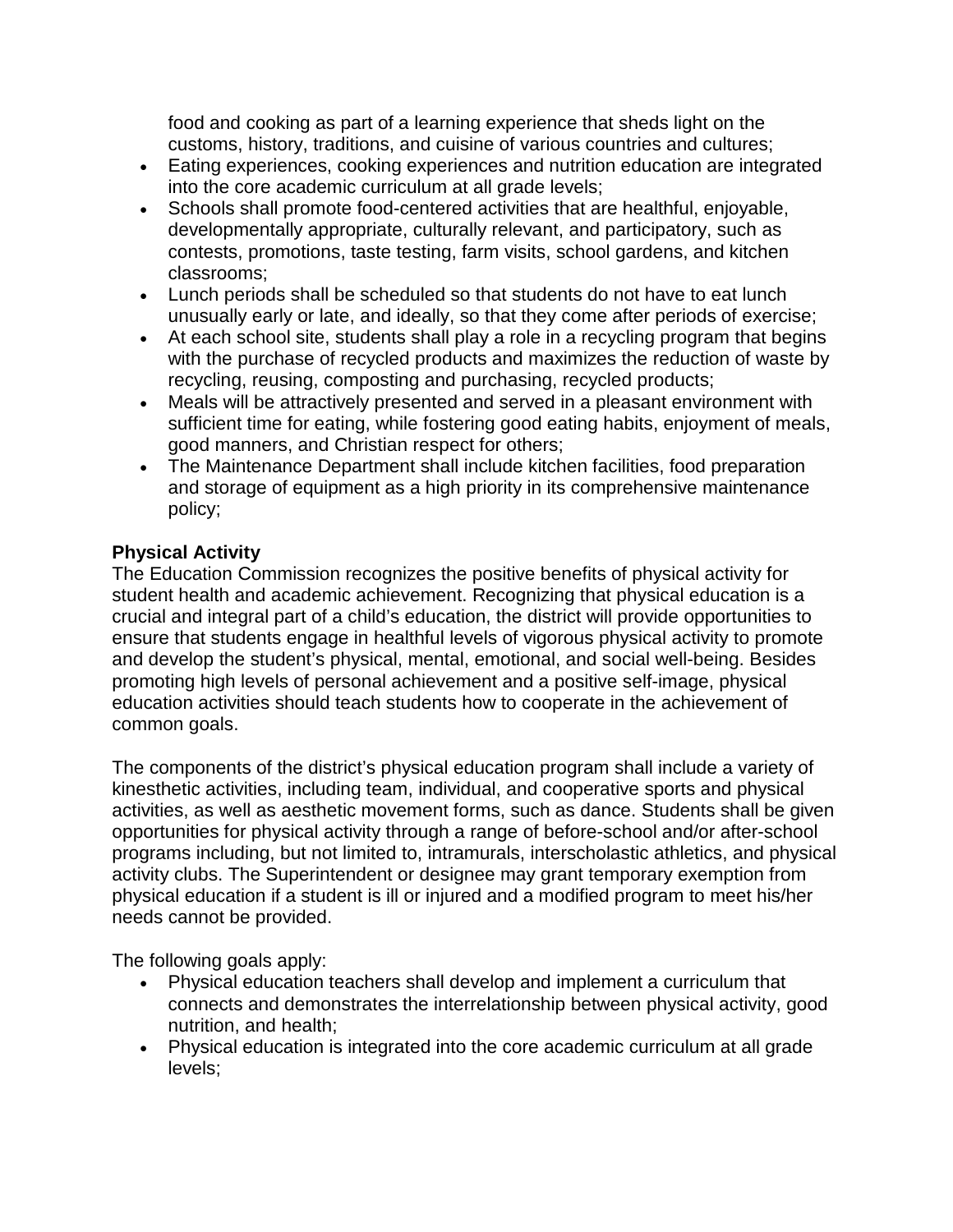food and cooking as part of a learning experience that sheds light on the customs, history, traditions, and cuisine of various countries and cultures;

- Eating experiences, cooking experiences and nutrition education are integrated into the core academic curriculum at all grade levels;
- Schools shall promote food-centered activities that are healthful, enjoyable, developmentally appropriate, culturally relevant, and participatory, such as contests, promotions, taste testing, farm visits, school gardens, and kitchen classrooms;
- Lunch periods shall be scheduled so that students do not have to eat lunch unusually early or late, and ideally, so that they come after periods of exercise;
- At each school site, students shall play a role in a recycling program that begins with the purchase of recycled products and maximizes the reduction of waste by recycling, reusing, composting and purchasing, recycled products;
- Meals will be attractively presented and served in a pleasant environment with sufficient time for eating, while fostering good eating habits, enjoyment of meals, good manners, and Christian respect for others;
- The Maintenance Department shall include kitchen facilities, food preparation and storage of equipment as a high priority in its comprehensive maintenance policy;

# **Physical Activity**

The Education Commission recognizes the positive benefits of physical activity for student health and academic achievement. Recognizing that physical education is a crucial and integral part of a child's education, the district will provide opportunities to ensure that students engage in healthful levels of vigorous physical activity to promote and develop the student's physical, mental, emotional, and social well-being. Besides promoting high levels of personal achievement and a positive self-image, physical education activities should teach students how to cooperate in the achievement of common goals.

The components of the district's physical education program shall include a variety of kinesthetic activities, including team, individual, and cooperative sports and physical activities, as well as aesthetic movement forms, such as dance. Students shall be given opportunities for physical activity through a range of before-school and/or after-school programs including, but not limited to, intramurals, interscholastic athletics, and physical activity clubs. The Superintendent or designee may grant temporary exemption from physical education if a student is ill or injured and a modified program to meet his/her needs cannot be provided.

The following goals apply:

- Physical education teachers shall develop and implement a curriculum that connects and demonstrates the interrelationship between physical activity, good nutrition, and health;
- Physical education is integrated into the core academic curriculum at all grade levels;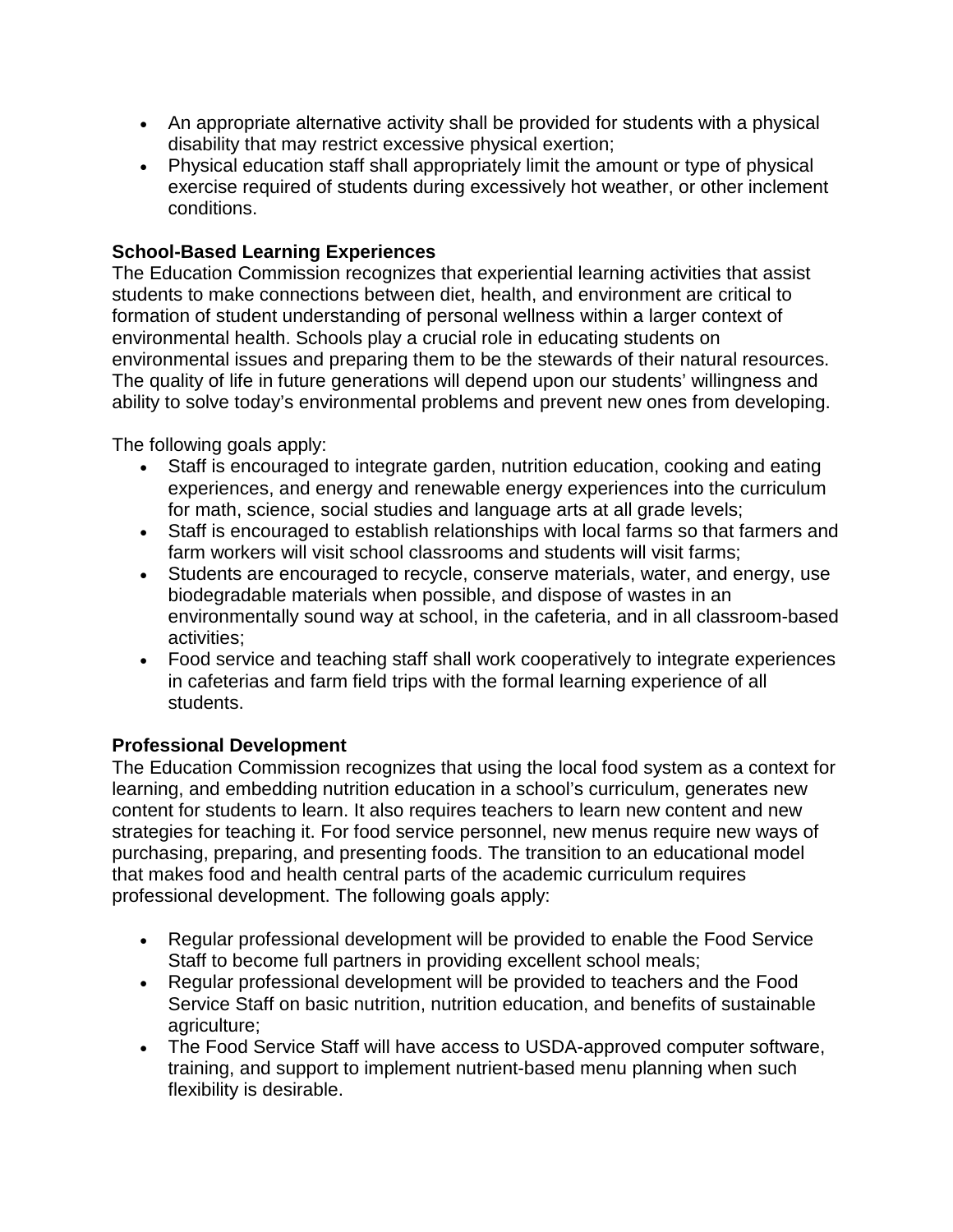- An appropriate alternative activity shall be provided for students with a physical disability that may restrict excessive physical exertion;
- Physical education staff shall appropriately limit the amount or type of physical exercise required of students during excessively hot weather, or other inclement conditions.

## **School-Based Learning Experiences**

The Education Commission recognizes that experiential learning activities that assist students to make connections between diet, health, and environment are critical to formation of student understanding of personal wellness within a larger context of environmental health. Schools play a crucial role in educating students on environmental issues and preparing them to be the stewards of their natural resources. The quality of life in future generations will depend upon our students' willingness and ability to solve today's environmental problems and prevent new ones from developing.

The following goals apply:

- Staff is encouraged to integrate garden, nutrition education, cooking and eating experiences, and energy and renewable energy experiences into the curriculum for math, science, social studies and language arts at all grade levels;
- Staff is encouraged to establish relationships with local farms so that farmers and farm workers will visit school classrooms and students will visit farms;
- Students are encouraged to recycle, conserve materials, water, and energy, use biodegradable materials when possible, and dispose of wastes in an environmentally sound way at school, in the cafeteria, and in all classroom-based activities;
- Food service and teaching staff shall work cooperatively to integrate experiences in cafeterias and farm field trips with the formal learning experience of all students.

## **Professional Development**

The Education Commission recognizes that using the local food system as a context for learning, and embedding nutrition education in a school's curriculum, generates new content for students to learn. It also requires teachers to learn new content and new strategies for teaching it. For food service personnel, new menus require new ways of purchasing, preparing, and presenting foods. The transition to an educational model that makes food and health central parts of the academic curriculum requires professional development. The following goals apply:

- Regular professional development will be provided to enable the Food Service Staff to become full partners in providing excellent school meals;
- Regular professional development will be provided to teachers and the Food Service Staff on basic nutrition, nutrition education, and benefits of sustainable agriculture;
- The Food Service Staff will have access to USDA-approved computer software, training, and support to implement nutrient-based menu planning when such flexibility is desirable.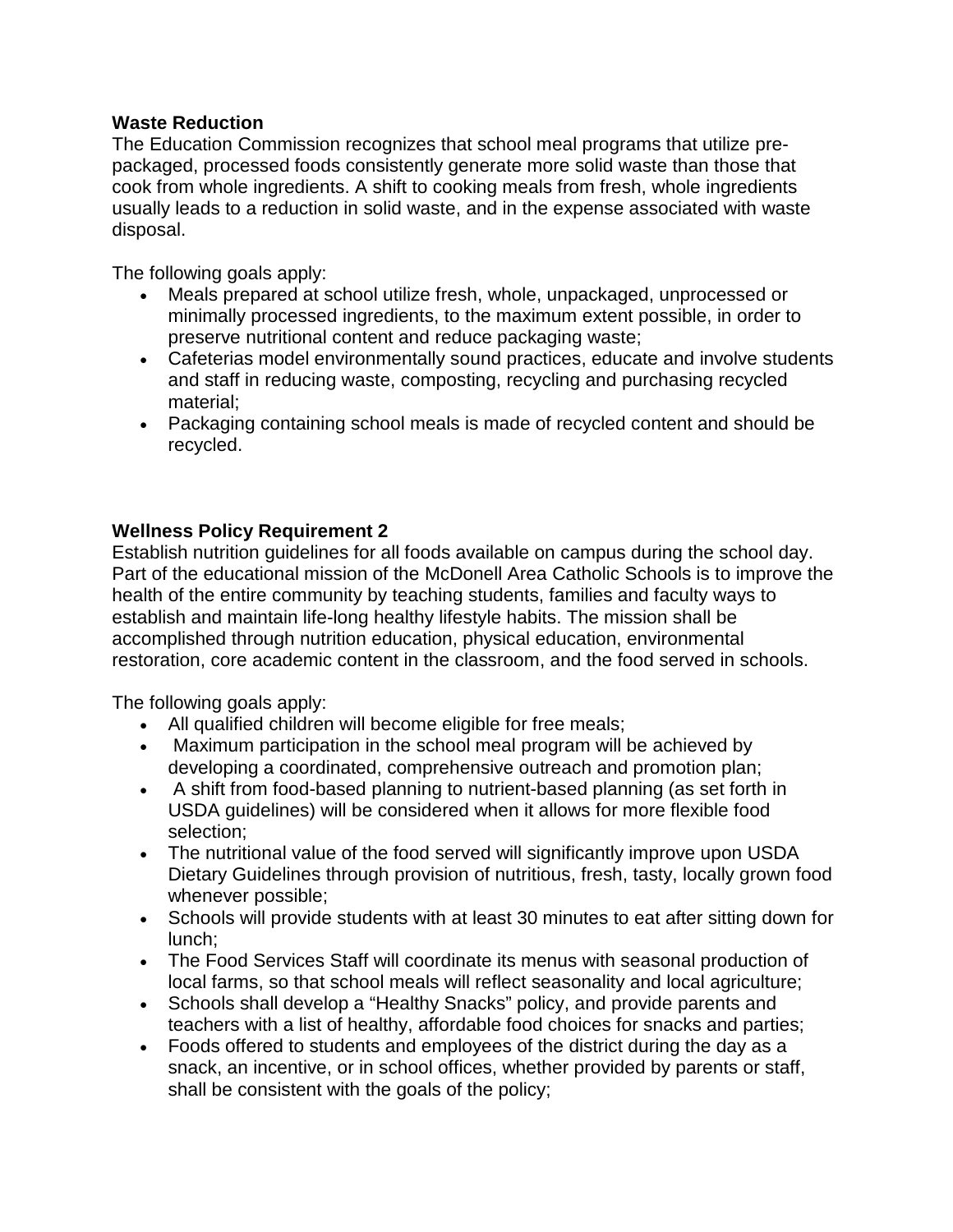## **Waste Reduction**

The Education Commission recognizes that school meal programs that utilize prepackaged, processed foods consistently generate more solid waste than those that cook from whole ingredients. A shift to cooking meals from fresh, whole ingredients usually leads to a reduction in solid waste, and in the expense associated with waste disposal.

The following goals apply:

- Meals prepared at school utilize fresh, whole, unpackaged, unprocessed or minimally processed ingredients, to the maximum extent possible, in order to preserve nutritional content and reduce packaging waste;
- Cafeterias model environmentally sound practices, educate and involve students and staff in reducing waste, composting, recycling and purchasing recycled material;
- Packaging containing school meals is made of recycled content and should be recycled.

## **Wellness Policy Requirement 2**

Establish nutrition guidelines for all foods available on campus during the school day. Part of the educational mission of the McDonell Area Catholic Schools is to improve the health of the entire community by teaching students, families and faculty ways to establish and maintain life-long healthy lifestyle habits. The mission shall be accomplished through nutrition education, physical education, environmental restoration, core academic content in the classroom, and the food served in schools.

The following goals apply:

- All qualified children will become eligible for free meals;
- Maximum participation in the school meal program will be achieved by developing a coordinated, comprehensive outreach and promotion plan;
- A shift from food-based planning to nutrient-based planning (as set forth in USDA guidelines) will be considered when it allows for more flexible food selection;
- The nutritional value of the food served will significantly improve upon USDA Dietary Guidelines through provision of nutritious, fresh, tasty, locally grown food whenever possible;
- Schools will provide students with at least 30 minutes to eat after sitting down for lunch;
- The Food Services Staff will coordinate its menus with seasonal production of local farms, so that school meals will reflect seasonality and local agriculture;
- Schools shall develop a "Healthy Snacks" policy, and provide parents and teachers with a list of healthy, affordable food choices for snacks and parties;
- Foods offered to students and employees of the district during the day as a snack, an incentive, or in school offices, whether provided by parents or staff, shall be consistent with the goals of the policy;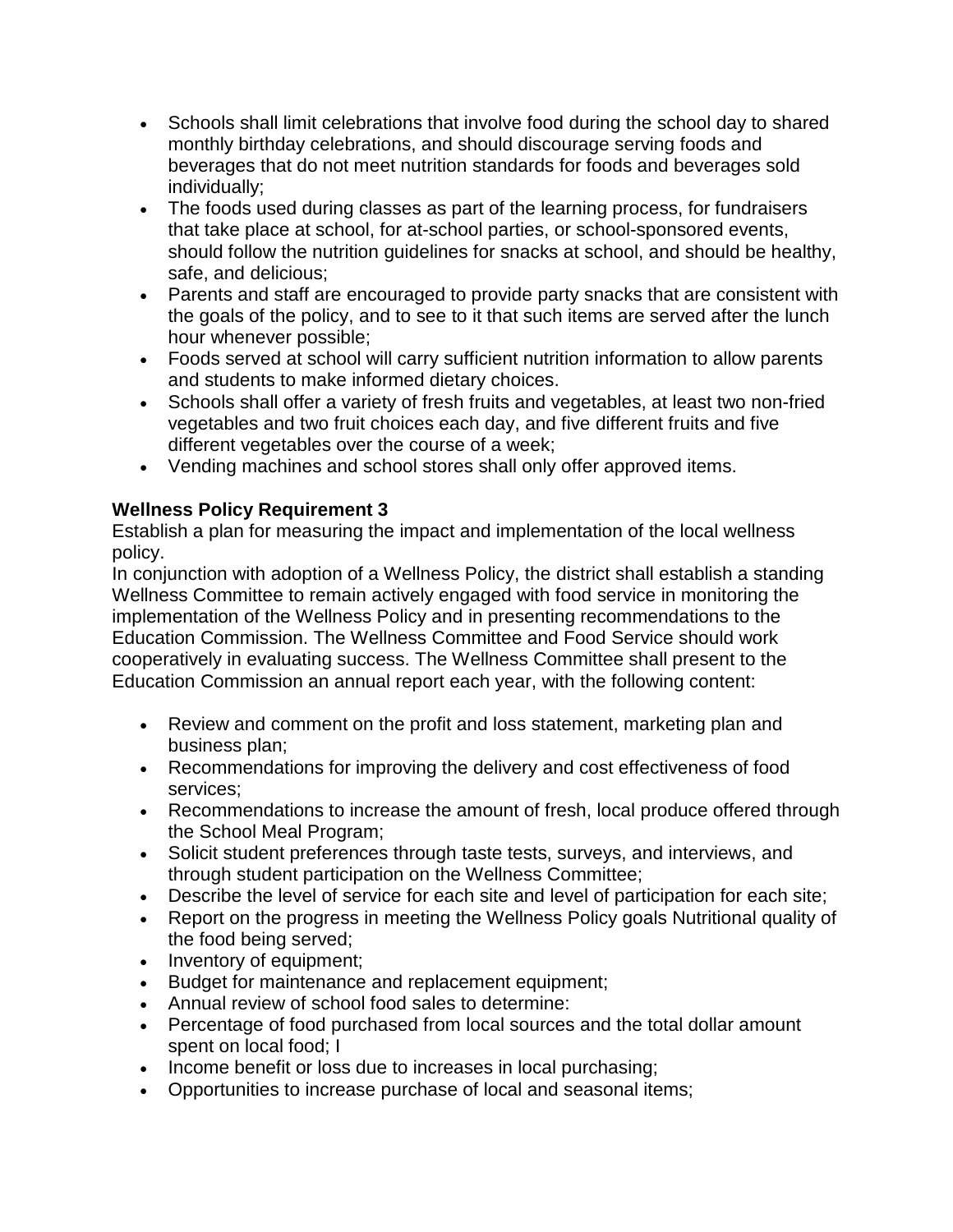- Schools shall limit celebrations that involve food during the school day to shared monthly birthday celebrations, and should discourage serving foods and beverages that do not meet nutrition standards for foods and beverages sold individually;
- The foods used during classes as part of the learning process, for fundraisers that take place at school, for at-school parties, or school-sponsored events, should follow the nutrition guidelines for snacks at school, and should be healthy, safe, and delicious;
- Parents and staff are encouraged to provide party snacks that are consistent with the goals of the policy, and to see to it that such items are served after the lunch hour whenever possible;
- Foods served at school will carry sufficient nutrition information to allow parents and students to make informed dietary choices.
- Schools shall offer a variety of fresh fruits and vegetables, at least two non-fried vegetables and two fruit choices each day, and five different fruits and five different vegetables over the course of a week;
- Vending machines and school stores shall only offer approved items.

# **Wellness Policy Requirement 3**

Establish a plan for measuring the impact and implementation of the local wellness policy.

In conjunction with adoption of a Wellness Policy, the district shall establish a standing Wellness Committee to remain actively engaged with food service in monitoring the implementation of the Wellness Policy and in presenting recommendations to the Education Commission. The Wellness Committee and Food Service should work cooperatively in evaluating success. The Wellness Committee shall present to the Education Commission an annual report each year, with the following content:

- Review and comment on the profit and loss statement, marketing plan and business plan;
- Recommendations for improving the delivery and cost effectiveness of food services;
- Recommendations to increase the amount of fresh, local produce offered through the School Meal Program;
- Solicit student preferences through taste tests, surveys, and interviews, and through student participation on the Wellness Committee;
- Describe the level of service for each site and level of participation for each site;
- Report on the progress in meeting the Wellness Policy goals Nutritional quality of the food being served;
- Inventory of equipment;
- Budget for maintenance and replacement equipment;
- Annual review of school food sales to determine:
- Percentage of food purchased from local sources and the total dollar amount spent on local food; I
- Income benefit or loss due to increases in local purchasing;
- Opportunities to increase purchase of local and seasonal items;